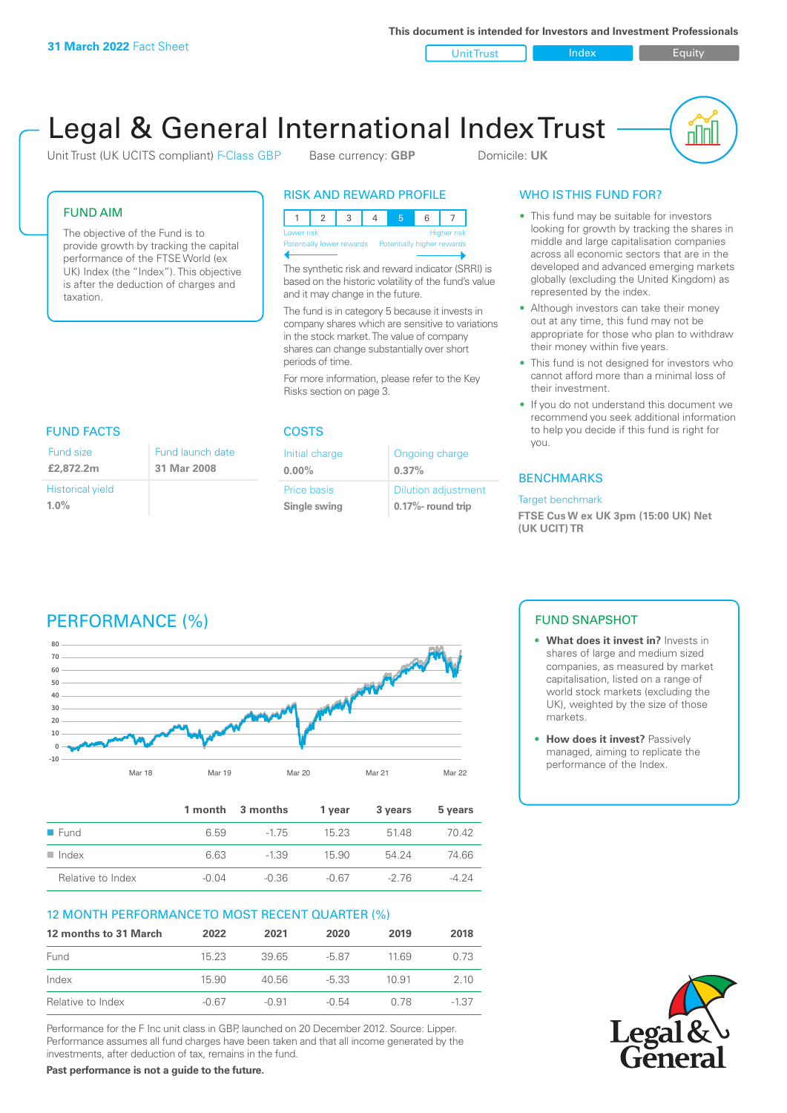**This document is intended for Investors and Investment Professionals**

Unit Trust Index I Equity



# Legal & General International Index Trust

Unit Trust (UK UCITS compliant) F-Class GBP Base currency: **GBP** Domicile: UK

#### FUND AIM

The objective of the Fund is to provide growth by tracking the capital performance of the FTSE World (ex UK) Index (the "Index"). This objective is after the deduction of charges and taxation.

#### RISK AND REWARD PROFILE

|                                                      | Lower risk |  |  |  | <b>Higher risk</b> |
|------------------------------------------------------|------------|--|--|--|--------------------|
| Potentially lower rewards Potentially higher rewards |            |  |  |  |                    |
|                                                      |            |  |  |  |                    |

The synthetic risk and reward indicator (SRRI) is based on the historic volatility of the fund's value and it may change in the future.

The fund is in category 5 because it invests in company shares which are sensitive to variations in the stock market. The value of company shares can change substantially over short periods of time.

For more information, please refer to the Key Risks section on page 3.

| FUND FACTS                         |                                 |
|------------------------------------|---------------------------------|
| Fund size<br>£2,872.2m             | Fund launch date<br>31 Mar 2008 |
| <b>Historical yield</b><br>$1.0\%$ |                                 |

#### COSTS

| Initial charge | Ongoing charge             |  |
|----------------|----------------------------|--|
| $0.00\%$       | 0.37%                      |  |
| Price basis    | <b>Dilution adjustment</b> |  |
| Single swing   | 0.17%- round trip          |  |

### WHO IS THIS FUND FOR?

- This fund may be suitable for investors looking for growth by tracking the shares in middle and large capitalisation companies across all economic sectors that are in the developed and advanced emerging markets globally (excluding the United Kingdom) as represented by the index.
- Although investors can take their money out at any time, this fund may not be appropriate for those who plan to withdraw their money within five years.
- This fund is not designed for investors who cannot afford more than a minimal loss of their investment.
- If you do not understand this document we recommend you seek additional information to help you decide if this fund is right for you.

#### **BENCHMARKS**

#### Target benchmark

**FTSE Cus W ex UK 3pm (15:00 UK) Net (UK UCIT) TR**

## PERFORMANCE (%)



|                      |       | 1 month 3 months | 1 vear  | 3 years | 5 years |
|----------------------|-------|------------------|---------|---------|---------|
| ■ Fund               | 6.59  | $-175$           | 15 23   | 5148    | 70.42   |
| $\blacksquare$ Index | 6.63  | $-1.39$          | 15.90   | 54 24   | 74.66   |
| Relative to Index    | -0.04 | -0.36            | $-0.67$ | -2.76   | -4 24   |

### 12 MONTH PERFORMANCE TO MOST RECENT QUARTER (%)

| 12 months to 31 March | 2022  | 2021    | 2020    | 2019  | 2018    |
|-----------------------|-------|---------|---------|-------|---------|
| Fund                  | 1523  | 39.65   | -5.87   | 11.69 | 0.73    |
| Index                 | 15.90 | 40.56   | $-5.33$ | 10.91 | 2 10    |
| Relative to Index     | -0.67 | $-0.91$ | -0.54   | 0.78  | $-1.37$ |

Performance for the F Inc unit class in GBP, launched on 20 December 2012. Source: Lipper. Performance assumes all fund charges have been taken and that all income generated by the investments, after deduction of tax, remains in the fund.

**Past performance is not a guide to the future.**

### FUND SNAPSHOT

- **• What does it invest in?** Invests in shares of large and medium sized companies, as measured by market capitalisation, listed on a range of world stock markets (excluding the UK), weighted by the size of those markets.
- **• How does it invest?** Passively managed, aiming to replicate the performance of the Index.

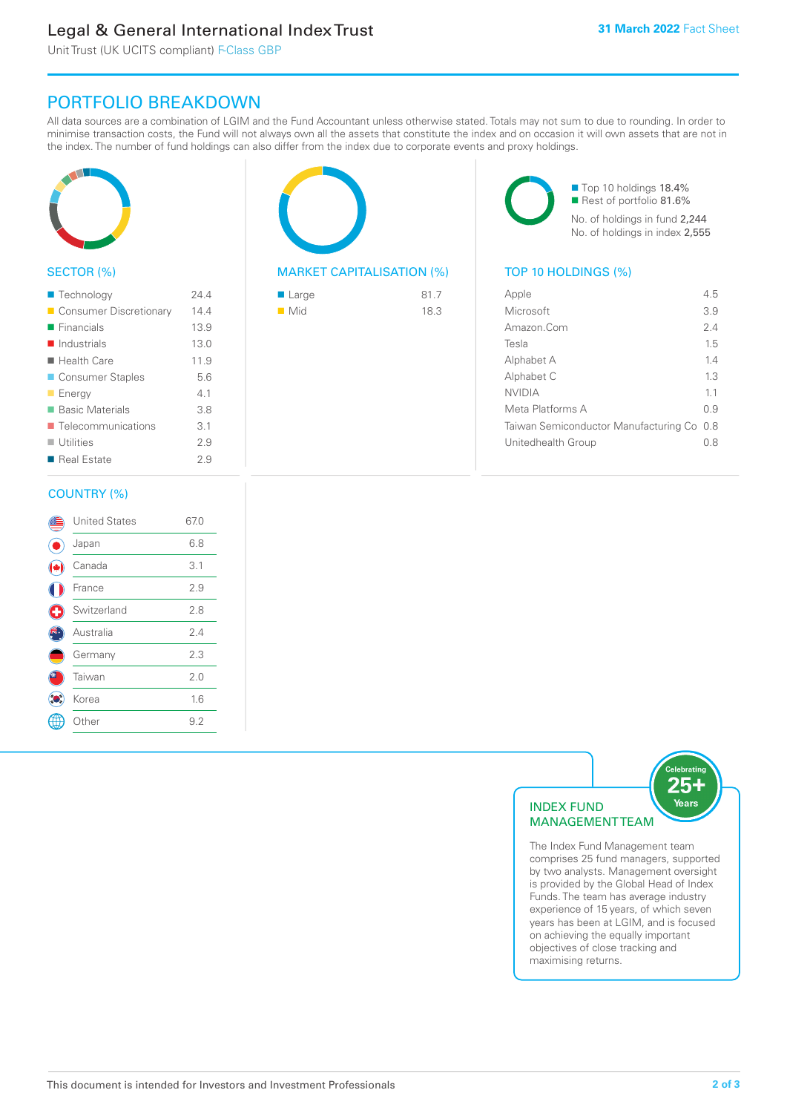### Legal & General International Index Trust

Unit Trust (UK UCITS compliant) F-Class GBP

### PORTFOLIO BREAKDOWN

All data sources are a combination of LGIM and the Fund Accountant unless otherwise stated. Totals may not sum to due to rounding. In order to minimise transaction costs, the Fund will not always own all the assets that constitute the index and on occasion it will own assets that are not in the index. The number of fund holdings can also differ from the index due to corporate events and proxy holdings.



#### SECTOR (%)

| ■ Technology                      | 244  |
|-----------------------------------|------|
| Consumer Discretionary            | 14.4 |
| $\blacksquare$ Financials         | 13.9 |
| $\blacksquare$ Industrials        | 13.0 |
| $\blacksquare$ Health Care        | 11.9 |
| ■ Consumer Staples                | 5.6  |
| <b>Energy</b>                     | 41   |
| <b>Basic Materials</b>            | 3.8  |
| $\blacksquare$ Telecommunications | 3.1  |
| $\blacksquare$ Utilities          | 29   |
| ■ Real Estate                     | 29   |
|                                   |      |

#### COUNTRY (%)

|   | <b>United States</b> | 67.0 |
|---|----------------------|------|
|   | Japan                | 6.8  |
|   | Canada               | 3.1  |
|   | France               | 2.9  |
| Œ | Switzerland          | 2.8  |
|   | Australia            | 2.4  |
|   | Germany              | 2.3  |
|   | Taiwan               | 2.0  |
|   | Korea                | 1.6  |
|   | Other                | 9.2  |
|   |                      |      |



#### MARKET CAPITALISATION (%) TOP 10 HOLDINGS (%)

| $\blacksquare$ Large | 81.7 |
|----------------------|------|
| $\blacksquare$ Mid   | 18.3 |

■ Top 10 holdings 18.4% Rest of portfolio 81.6% No. of holdings in fund 2,244 No. of holdings in index 2,555

| Apple                                     | 45  |
|-------------------------------------------|-----|
| Microsoft                                 | 3.9 |
| Amazon.Com                                | 2.4 |
| Tesla                                     | 15  |
| Alphabet A                                | 14  |
| Alphabet C                                | 1.3 |
| <b>NVIDIA</b>                             | 11  |
| Meta Platforms A                          | 09  |
| Taiwan Semiconductor Manufacturing Co 0.8 |     |
| Unitedhealth Group                        | 08  |
|                                           |     |



The Index Fund Management team comprises 25 fund managers, supported by two analysts. Management oversight is provided by the Global Head of Index Funds. The team has average industry experience of 15 years, of which seven years has been at LGIM, and is focused on achieving the equally important objectives of close tracking and maximising returns.